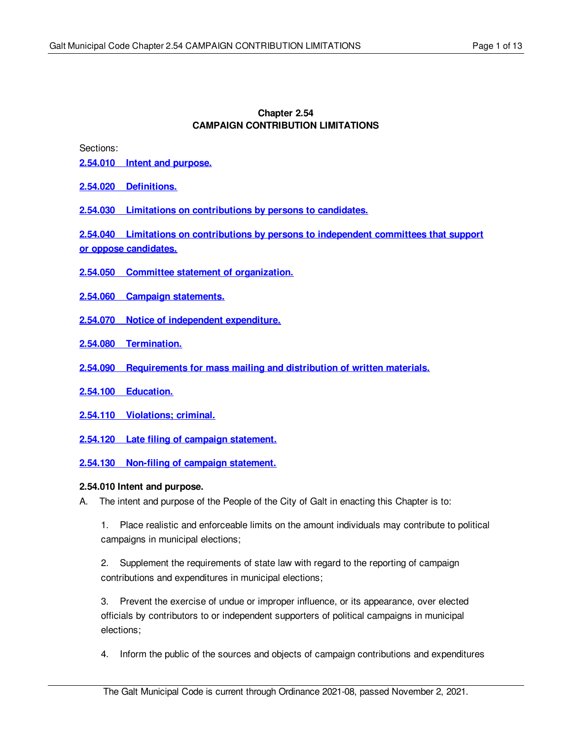#### **Chapter 2.54 CAMPAIGN CONTRIBUTION LIMITATIONS**

Sections:

- **2.54.010 Intent and [purpose.](#page-0-0)**
- **2.54.020 [Definitions.](#page-1-0)**
- **2.54.030 Limitations on [contributions](#page-5-0) by persons to candidates.**

**2.54.040 Limitations on [contributions](#page-6-0) by persons to independent committees that support or oppose candidates.**

- **2.54.050 Committee statement of [organization.](#page-6-1)**
- **2.54.060 Campaign [statements.](#page-7-0)**
- **2.54.070 Notice of independent [expenditure.](#page-9-0)**
- **2.54.080 [Termination.](#page-10-0)**
- **2.54.090 [Requirements](#page-10-1) for mass mailing and distribution of written materials.**
- **2.54.100 [Education.](#page-11-0)**
- **2.54.110 [Violations;](#page-11-1) criminal.**
- **2.54.120 Late filing of campaign [statement.](#page-11-2)**

**2.54.130 Non-filing of campaign [statement.](#page-12-0)**

#### <span id="page-0-0"></span>**2.54.010 Intent and purpose.**

A. The intent and purpose of the People of the City of Galt in enacting this Chapter is to:

1. Place realistic and enforceable limits on the amount individuals may contribute to political campaigns in municipal elections;

2. Supplement the requirements of state law with regard to the reporting of campaign contributions and expenditures in municipal elections;

3. Prevent the exercise of undue or improper influence, or its appearance, over elected officials by contributors to or independent supporters of political campaigns in municipal elections;

4. Inform the public of the sources and objects of campaign contributions and expenditures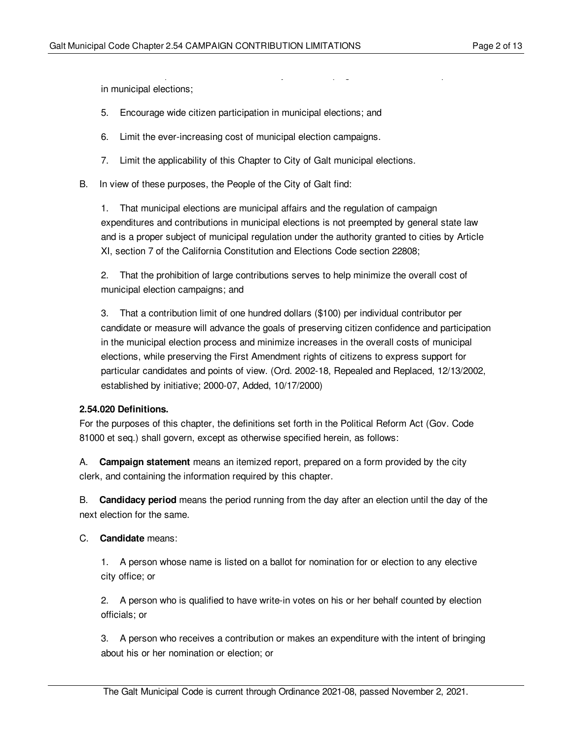in municipal elections;

- 5. Encourage wide citizen participation in municipal elections; and
- 6. Limit the ever-increasing cost of municipal election campaigns.
- 7. Limit the applicability of this Chapter to City of Galt municipal elections.
- B. In view of these purposes, the People of the City of Galt find:

1. That municipal elections are municipal affairs and the regulation of campaign expenditures and contributions in municipal elections is not preempted by general state law and is a proper subject of municipal regulation under the authority granted to cities by Article XI, section 7 of the California Constitution and Elections Code section 22808;

 $4.1\pm 0.1$  Information the sources and objects of campaign contributions and expenditures and expenditures and expenditures and expenditures and expenditures and expenditures and expenditures and expenditures and expendi

2. That the prohibition of large contributions serves to help minimize the overall cost of municipal election campaigns; and

3. That a contribution limit of one hundred dollars (\$100) per individual contributor per candidate or measure will advance the goals of preserving citizen confidence and participation in the municipal election process and minimize increases in the overall costs of municipal elections, while preserving the First Amendment rights of citizens to express support for particular candidates and points of view. (Ord. 2002-18, Repealed and Replaced, 12/13/2002, established by initiative; 2000-07, Added, 10/17/2000)

#### <span id="page-1-0"></span>**2.54.020 Definitions.**

For the purposes of this chapter, the definitions set forth in the Political Reform Act (Gov. Code 81000 et seq.) shall govern, except as otherwise specified herein, as follows:

A. **Campaign statement** means an itemized report, prepared on a form provided by the city clerk, and containing the information required by this chapter.

B. **Candidacy period** means the period running from the day after an election until the day of the next election for the same.

#### C. **Candidate** means:

1. A person whose name is listed on a ballot for nomination for or election to any elective city office; or

2. A person who is qualified to have write-in votes on his or her behalf counted by election officials; or

3. A person who receives a contribution or makes an expenditure with the intent of bringing about his or her nomination or election; or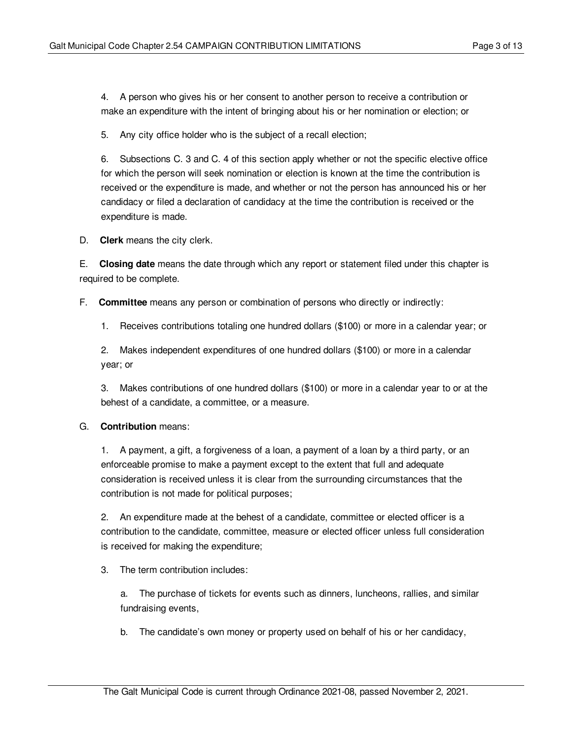4. A person who gives his or her consent to another person to receive a contribution or make an expenditure with the intent of bringing about his or her nomination or election; or

5. Any city office holder who is the subject of a recall election;

6. Subsections C. 3 and C. 4 of this section apply whether or not the specific elective office for which the person will seek nomination or election is known at the time the contribution is received or the expenditure is made, and whether or not the person has announced his or her candidacy or filed a declaration of candidacy at the time the contribution is received or the expenditure is made.

D. **Clerk** means the city clerk.

E. **Closing date** means the date through which any report or statement filed under this chapter is required to be complete.

F. **Committee** means any person or combination of persons who directly or indirectly:

1. Receives contributions totaling one hundred dollars (\$100) or more in a calendar year; or

2. Makes independent expenditures of one hundred dollars (\$100) or more in a calendar year; or

3. Makes contributions of one hundred dollars (\$100) or more in a calendar year to or at the behest of a candidate, a committee, or a measure.

# G. **Contribution** means:

1. A payment, a gift, a forgiveness of a loan, a payment of a loan by a third party, or an enforceable promise to make a payment except to the extent that full and adequate consideration is received unless it is clear from the surrounding circumstances that the contribution is not made for political purposes;

2. An expenditure made at the behest of a candidate, committee or elected officer is a contribution to the candidate, committee, measure or elected officer unless full consideration is received for making the expenditure;

3. The term contribution includes:

a. The purchase of tickets for events such as dinners, luncheons, rallies, and similar fundraising events,

b. The candidate's own money or property used on behalf of his or her candidacy,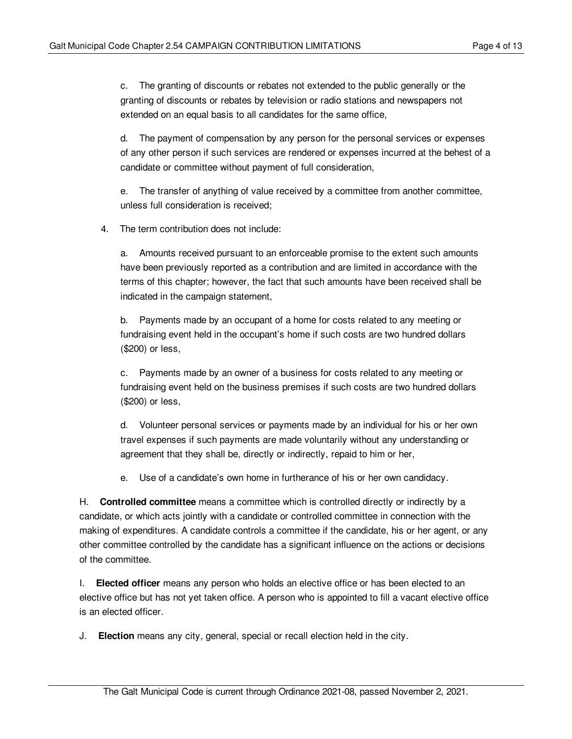c. The granting of discounts or rebates not extended to the public generally or the granting of discounts or rebates by television or radio stations and newspapers not extended on an equal basis to all candidates for the same office,

d. The payment of compensation by any person for the personal services or expenses of any other person if such services are rendered or expenses incurred at the behest of a candidate or committee without payment of full consideration,

e. The transfer of anything of value received by a committee from another committee, unless full consideration is received;

4. The term contribution does not include:

a. Amounts received pursuant to an enforceable promise to the extent such amounts have been previously reported as a contribution and are limited in accordance with the terms of this chapter; however, the fact that such amounts have been received shall be indicated in the campaign statement,

b. Payments made by an occupant of a home for costs related to any meeting or fundraising event held in the occupant's home if such costs are two hundred dollars (\$200) or less,

c. Payments made by an owner of a business for costs related to any meeting or fundraising event held on the business premises if such costs are two hundred dollars (\$200) or less,

d. Volunteer personal services or payments made by an individual for his or her own travel expenses if such payments are made voluntarily without any understanding or agreement that they shall be, directly or indirectly, repaid to him or her,

e. Use of a candidate's own home in furtherance of his or her own candidacy.

H. **Controlled committee** means a committee which is controlled directly or indirectly by a candidate, or which acts jointly with a candidate or controlled committee in connection with the making of expenditures. A candidate controls a committee if the candidate, his or her agent, or any other committee controlled by the candidate has a significant influence on the actions or decisions of the committee.

I. **Elected officer** means any person who holds an elective office or has been elected to an elective office but has not yet taken office. A person who is appointed to fill a vacant elective office is an elected officer.

J. **Election** means any city, general, special or recall election held in the city.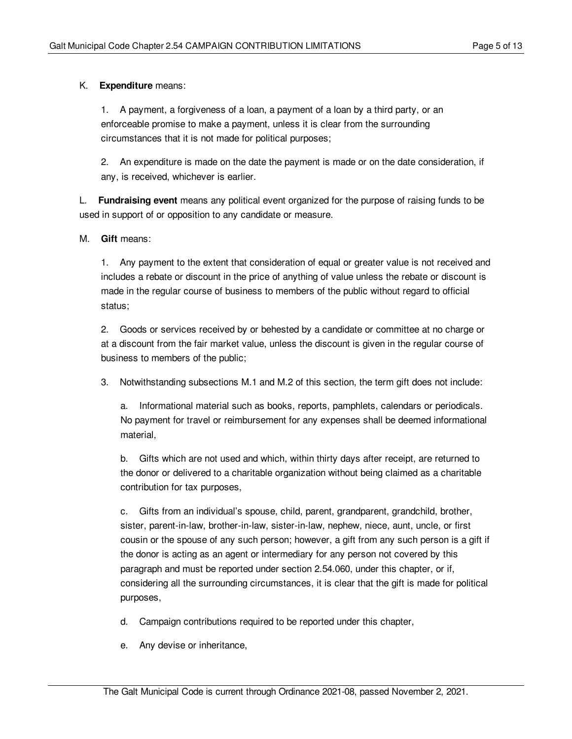# K. **Expenditure** means:

1. A payment, a forgiveness of a loan, a payment of a loan by a third party, or an enforceable promise to make a payment, unless it is clear from the surrounding circumstances that it is not made for political purposes;

2. An expenditure is made on the date the payment is made or on the date consideration, if any, is received, whichever is earlier.

L. **Fundraising event** means any political event organized for the purpose of raising funds to be used in support of or opposition to any candidate or measure.

#### M. **Gift** means:

1. Any payment to the extent that consideration of equal or greater value is not received and includes a rebate or discount in the price of anything of value unless the rebate or discount is made in the regular course of business to members of the public without regard to official status;

2. Goods or services received by or behested by a candidate or committee at no charge or at a discount from the fair market value, unless the discount is given in the regular course of business to members of the public;

3. Notwithstanding subsections M.1 and M.2 of this section, the term gift does not include:

a. Informational material such as books, reports, pamphlets, calendars or periodicals. No payment for travel or reimbursement for any expenses shall be deemed informational material,

b. Gifts which are not used and which, within thirty days after receipt, are returned to the donor or delivered to a charitable organization without being claimed as a charitable contribution for tax purposes,

c. Gifts from an individual's spouse, child, parent, grandparent, grandchild, brother, sister, parent-in-law, brother-in-law, sister-in-law, nephew, niece, aunt, uncle, or first cousin or the spouse of any such person; however, a gift from any such person is a gift if the donor is acting as an agent or intermediary for any person not covered by this paragraph and must be reported under section 2.54.060, under this chapter, or if, considering all the surrounding circumstances, it is clear that the gift is made for political purposes,

d. Campaign contributions required to be reported under this chapter,

e. Any devise or inheritance,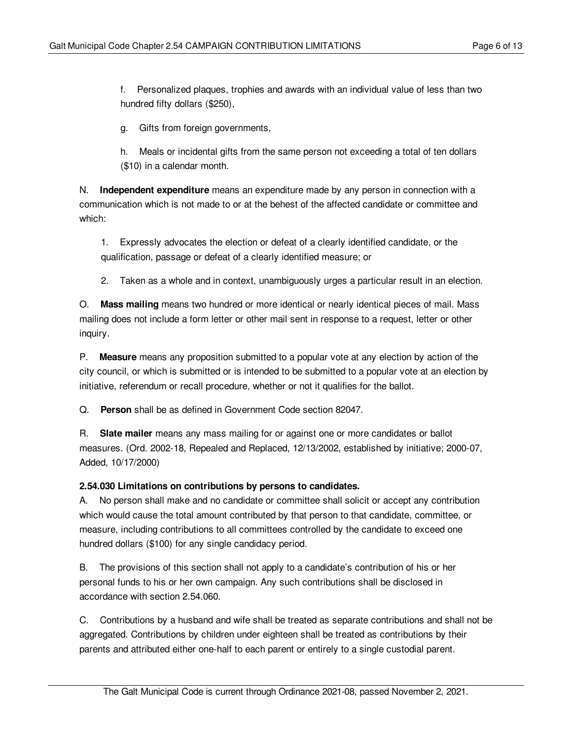f. Personalized plaques, trophies and awards with an individual value of less than two hundred fifty dollars (\$250),

g. Gifts from foreign governments,

h. Meals or incidental gifts from the same person not exceeding a total of ten dollars (\$10) in a calendar month.

N. **Independent expenditure** means an expenditure made by any person in connection with a communication which is not made to or at the behest of the affected candidate or committee and which:

1. Expressly advocates the election or defeat of a clearly identified candidate, or the qualification, passage or defeat of a clearly identified measure; or

# 2. Taken as a whole and in context, unambiguously urges a particular result in an election.

O. **Mass mailing** means two hundred or more identical or nearly identical pieces of mail. Mass mailing does not include a form letter or other mail sent in response to a request, letter or other inquiry.

P. **Measure** means any proposition submitted to a popular vote at any election by action of the city council, or which is submitted or is intended to be submitted to a popular vote at an election by initiative, referendum or recall procedure, whether or not it qualifies for the ballot.

Q. **Person** shall be as defined in Government Code section 82047.

R. **Slate mailer** means any mass mailing for or against one or more candidates or ballot measures. (Ord. 2002-18, Repealed and Replaced, 12/13/2002, established by initiative; 2000-07, Added, 10/17/2000)

# <span id="page-5-0"></span>**2.54.030 Limitations on contributions by persons to candidates.**

A. No person shall make and no candidate or committee shall solicit or accept any contribution which would cause the total amount contributed by that person to that candidate, committee, or measure, including contributions to all committees controlled by the candidate to exceed one hundred dollars (\$100) for any single candidacy period.

B. The provisions of this section shall not apply to a candidate's contribution of his or her personal funds to his or her own campaign. Any such contributions shall be disclosed in accordance with section 2.54.060.

C. Contributions by a husband and wife shall be treated as separate contributions and shall not be aggregated. Contributions by children under eighteen shall be treated as contributions by their parents and attributed either one-half to each parent or entirely to a single custodial parent.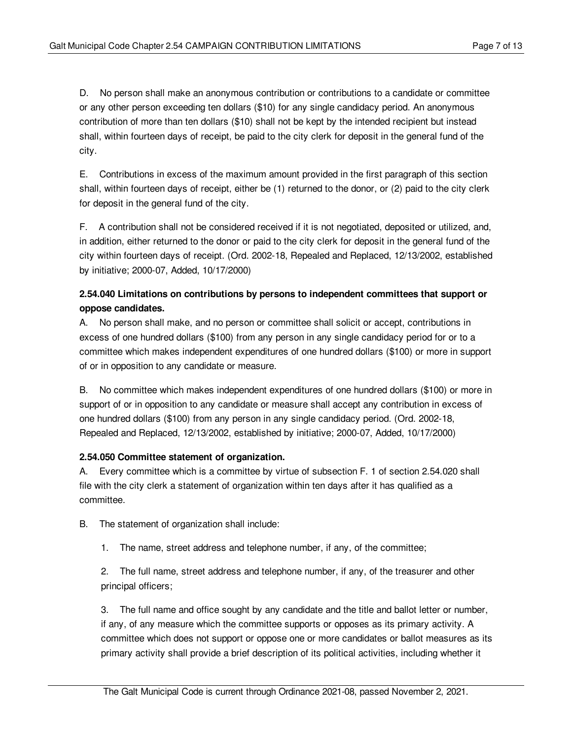D. No person shall make an anonymous contribution or contributions to a candidate or committee or any other person exceeding ten dollars (\$10) for any single candidacy period. An anonymous contribution of more than ten dollars (\$10) shall not be kept by the intended recipient but instead shall, within fourteen days of receipt, be paid to the city clerk for deposit in the general fund of the city.

E. Contributions in excess of the maximum amount provided in the first paragraph of this section shall, within fourteen days of receipt, either be (1) returned to the donor, or (2) paid to the city clerk for deposit in the general fund of the city.

F. A contribution shall not be considered received if it is not negotiated, deposited or utilized, and, in addition, either returned to the donor or paid to the city clerk for deposit in the general fund of the city within fourteen days of receipt. (Ord. 2002-18, Repealed and Replaced, 12/13/2002, established by initiative; 2000-07, Added, 10/17/2000)

# <span id="page-6-0"></span>**2.54.040 Limitations on contributions by persons to independent committees that support or oppose candidates.**

A. No person shall make, and no person or committee shall solicit or accept, contributions in excess of one hundred dollars (\$100) from any person in any single candidacy period for or to a committee which makes independent expenditures of one hundred dollars (\$100) or more in support of or in opposition to any candidate or measure.

B. No committee which makes independent expenditures of one hundred dollars (\$100) or more in support of or in opposition to any candidate or measure shall accept any contribution in excess of one hundred dollars (\$100) from any person in any single candidacy period. (Ord. 2002-18, Repealed and Replaced, 12/13/2002, established by initiative; 2000-07, Added, 10/17/2000)

# <span id="page-6-1"></span>**2.54.050 Committee statement of organization.**

A. Every committee which is a committee by virtue of subsection F. 1 of section 2.54.020 shall file with the city clerk a statement of organization within ten days after it has qualified as a committee.

B. The statement of organization shall include:

1. The name, street address and telephone number, if any, of the committee;

2. The full name, street address and telephone number, if any, of the treasurer and other principal officers;

3. The full name and office sought by any candidate and the title and ballot letter or number, if any, of any measure which the committee supports or opposes as its primary activity. A committee which does not support or oppose one or more candidates or ballot measures as its primary activity shall provide a brief description of its political activities, including whether it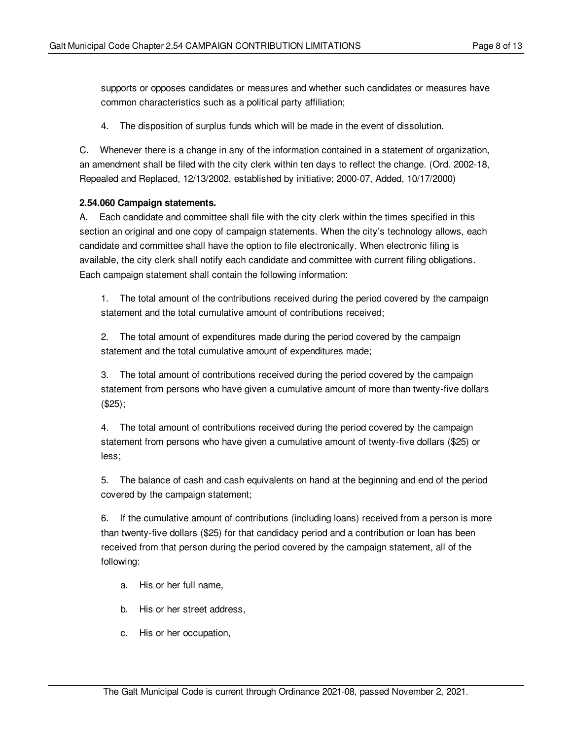supports or opposes candidates or measures and whether such candidates or measures have common characteristics such as a political party affiliation;

4. The disposition of surplus funds which will be made in the event of dissolution.

C. Whenever there is a change in any of the information contained in a statement of organization, an amendment shall be filed with the city clerk within ten days to reflect the change. (Ord. 2002-18, Repealed and Replaced, 12/13/2002, established by initiative; 2000-07, Added, 10/17/2000)

#### <span id="page-7-0"></span>**2.54.060 Campaign statements.**

A. Each candidate and committee shall file with the city clerk within the times specified in this section an original and one copy of campaign statements. When the city's technology allows, each candidate and committee shall have the option to file electronically. When electronic filing is available, the city clerk shall notify each candidate and committee with current filing obligations. Each campaign statement shall contain the following information:

1. The total amount of the contributions received during the period covered by the campaign statement and the total cumulative amount of contributions received;

2. The total amount of expenditures made during the period covered by the campaign statement and the total cumulative amount of expenditures made;

3. The total amount of contributions received during the period covered by the campaign statement from persons who have given a cumulative amount of more than twenty-five dollars (\$25);

4. The total amount of contributions received during the period covered by the campaign statement from persons who have given a cumulative amount of twenty-five dollars (\$25) or less;

5. The balance of cash and cash equivalents on hand at the beginning and end of the period covered by the campaign statement;

6. If the cumulative amount of contributions (including loans) received from a person is more than twenty-five dollars (\$25) for that candidacy period and a contribution or loan has been received from that person during the period covered by the campaign statement, all of the following:

- a. His or her full name,
- b. His or her street address,
- c. His or her occupation,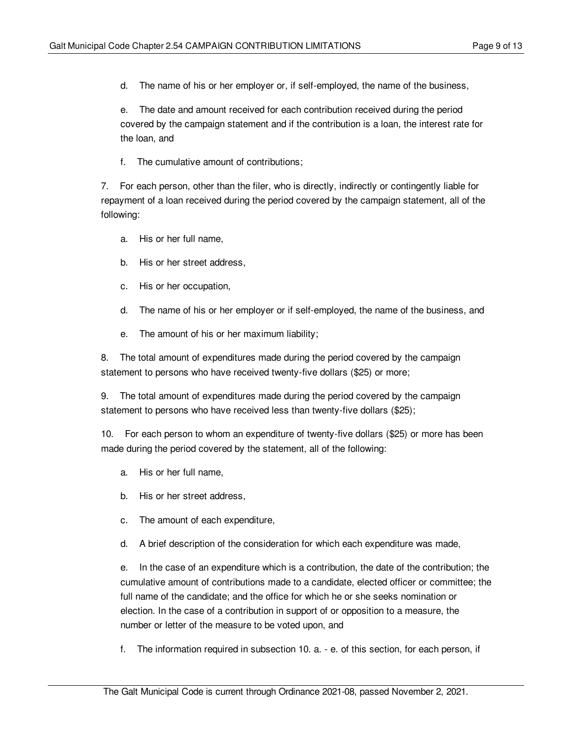d. The name of his or her employer or, if self-employed, the name of the business,

e. The date and amount received for each contribution received during the period covered by the campaign statement and if the contribution is a loan, the interest rate for the loan, and

f. The cumulative amount of contributions;

7. For each person, other than the filer, who is directly, indirectly or contingently liable for repayment of a loan received during the period covered by the campaign statement, all of the following:

- a. His or her full name,
- b. His or her street address,
- c. His or her occupation,
- d. The name of his or her employer or if self-employed, the name of the business, and
- e. The amount of his or her maximum liability;

8. The total amount of expenditures made during the period covered by the campaign statement to persons who have received twenty-five dollars (\$25) or more;

9. The total amount of expenditures made during the period covered by the campaign statement to persons who have received less than twenty-five dollars (\$25);

10. For each person to whom an expenditure of twenty-five dollars (\$25) or more has been made during the period covered by the statement, all of the following:

- a. His or her full name,
- b. His or her street address,
- c. The amount of each expenditure,
- d. A brief description of the consideration for which each expenditure was made,

e. In the case of an expenditure which is a contribution, the date of the contribution; the cumulative amount of contributions made to a candidate, elected officer or committee; the full name of the candidate; and the office for which he or she seeks nomination or election. In the case of a contribution in support of or opposition to a measure, the number or letter of the measure to be voted upon, and

f. The information required in subsection 10. a. - e. of this section, for each person, if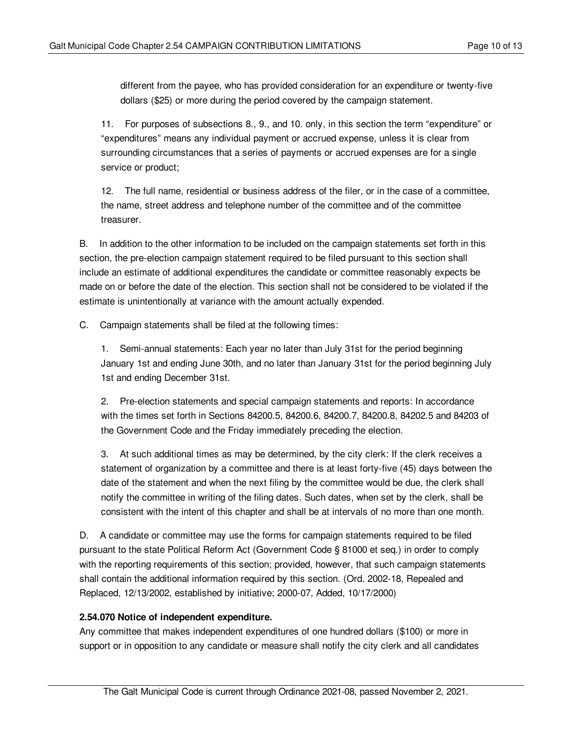different from the payee, who has provided consideration for an expenditure or twenty-five dollars (\$25) or more during the period covered by the campaign statement.

11. For purposes of subsections 8., 9., and 10. only, in this section the term "expenditure" or "expenditures" means any individual payment or accrued expense, unless it is clear from surrounding circumstances that a series of payments or accrued expenses are for a single service or product;

12. The full name, residential or business address of the filer, or in the case of a committee, the name, street address and telephone number of the committee and of the committee treasurer.

B. In addition to the other information to be included on the campaign statements set forth in this section, the pre-election campaign statement required to be filed pursuant to this section shall include an estimate of additional expenditures the candidate or committee reasonably expects be made on or before the date of the election. This section shall not be considered to be violated if the estimate is unintentionally at variance with the amount actually expended.

C. Campaign statements shall be filed at the following times:

1. Semi-annual statements: Each year no later than July 31st for the period beginning January 1st and ending June 30th, and no later than January 31st for the period beginning July 1st and ending December 31st.

2. Pre-election statements and special campaign statements and reports: In accordance with the times set forth in Sections 84200.5, 84200.6, 84200.7, 84200.8, 84202.5 and 84203 of the Government Code and the Friday immediately preceding the election.

3. At such additional times as may be determined, by the city clerk: If the clerk receives a statement of organization by a committee and there is at least forty-five (45) days between the date of the statement and when the next filing by the committee would be due, the clerk shall notify the committee in writing of the filing dates. Such dates, when set by the clerk, shall be consistent with the intent of this chapter and shall be at intervals of no more than one month.

D. A candidate or committee may use the forms for campaign statements required to be filed pursuant to the state Political Reform Act (Government Code § 81000 et seq.) in order to comply with the reporting requirements of this section; provided, however, that such campaign statements shall contain the additional information required by this section. (Ord. 2002-18, Repealed and Replaced, 12/13/2002, established by initiative; 2000-07, Added, 10/17/2000)

# <span id="page-9-0"></span>**2.54.070 Notice of independent expenditure.**

Any committee that makes independent expenditures of one hundred dollars (\$100) or more in support or in opposition to any candidate or measure shall notify the city clerk and all candidates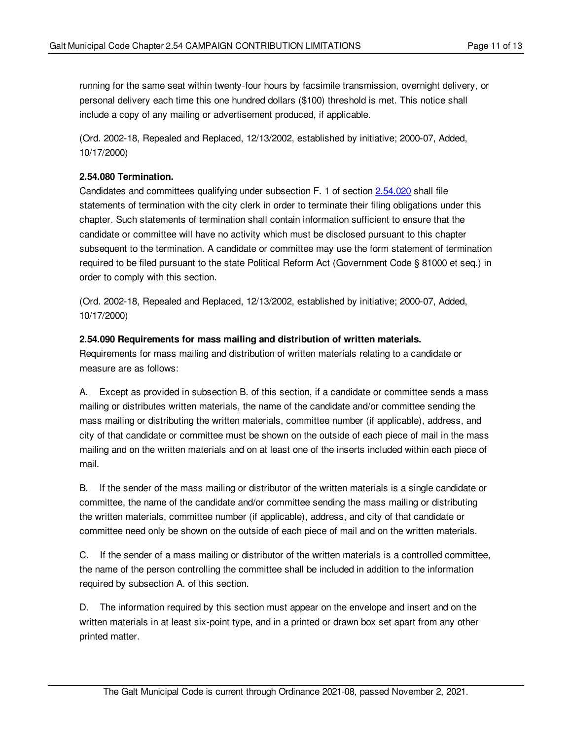running for the same seat within twenty-four hours by facsimile transmission, overnight delivery, or personal delivery each time this one hundred dollars (\$100) threshold is met. This notice shall include a copy of any mailing or advertisement produced, if applicable.

(Ord. 2002-18, Repealed and Replaced, 12/13/2002, established by initiative; 2000-07, Added, 10/17/2000)

# <span id="page-10-0"></span>**2.54.080 Termination.**

Candidates and committees qualifying under subsection F. 1 of section [2.54.020](#page-1-0) shall file statements of termination with the city clerk in order to terminate their filing obligations under this chapter. Such statements of termination shall contain information sufficient to ensure that the candidate or committee will have no activity which must be disclosed pursuant to this chapter subsequent to the termination. A candidate or committee may use the form statement of termination required to be filed pursuant to the state Political Reform Act (Government Code § 81000 et seq.) in order to comply with this section.

(Ord. 2002-18, Repealed and Replaced, 12/13/2002, established by initiative; 2000-07, Added, 10/17/2000)

#### <span id="page-10-1"></span>**2.54.090 Requirements for mass mailing and distribution of written materials.**

Requirements for mass mailing and distribution of written materials relating to a candidate or measure are as follows:

A. Except as provided in subsection B. of this section, if a candidate or committee sends a mass mailing or distributes written materials, the name of the candidate and/or committee sending the mass mailing or distributing the written materials, committee number (if applicable), address, and city of that candidate or committee must be shown on the outside of each piece of mail in the mass mailing and on the written materials and on at least one of the inserts included within each piece of mail.

B. If the sender of the mass mailing or distributor of the written materials is a single candidate or committee, the name of the candidate and/or committee sending the mass mailing or distributing the written materials, committee number (if applicable), address, and city of that candidate or committee need only be shown on the outside of each piece of mail and on the written materials.

C. If the sender of a mass mailing or distributor of the written materials is a controlled committee, the name of the person controlling the committee shall be included in addition to the information required by subsection A. of this section.

D. The information required by this section must appear on the envelope and insert and on the written materials in at least six-point type, and in a printed or drawn box set apart from any other printed matter.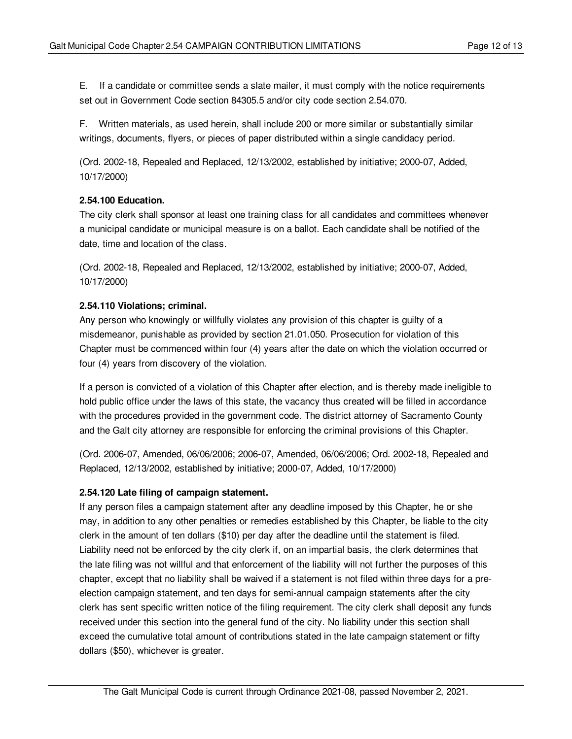E. If a candidate or committee sends a slate mailer, it must comply with the notice requirements set out in Government Code section 84305.5 and/or city code section 2.54.070.

F. Written materials, as used herein, shall include 200 or more similar or substantially similar writings, documents, flyers, or pieces of paper distributed within a single candidacy period.

(Ord. 2002-18, Repealed and Replaced, 12/13/2002, established by initiative; 2000-07, Added, 10/17/2000)

# <span id="page-11-0"></span>**2.54.100 Education.**

The city clerk shall sponsor at least one training class for all candidates and committees whenever a municipal candidate or municipal measure is on a ballot. Each candidate shall be notified of the date, time and location of the class.

(Ord. 2002-18, Repealed and Replaced, 12/13/2002, established by initiative; 2000-07, Added, 10/17/2000)

#### <span id="page-11-1"></span>**2.54.110 Violations; criminal.**

Any person who knowingly or willfully violates any provision of this chapter is guilty of a misdemeanor, punishable as provided by section 21.01.050. Prosecution for violation of this Chapter must be commenced within four (4) years after the date on which the violation occurred or four (4) years from discovery of the violation.

If a person is convicted of a violation of this Chapter after election, and is thereby made ineligible to hold public office under the laws of this state, the vacancy thus created will be filled in accordance with the procedures provided in the government code. The district attorney of Sacramento County and the Galt city attorney are responsible for enforcing the criminal provisions of this Chapter.

(Ord. 2006-07, Amended, 06/06/2006; 2006-07, Amended, 06/06/2006; Ord. 2002-18, Repealed and Replaced, 12/13/2002, established by initiative; 2000-07, Added, 10/17/2000)

# <span id="page-11-2"></span>**2.54.120 Late filing of campaign statement.**

If any person files a campaign statement after any deadline imposed by this Chapter, he or she may, in addition to any other penalties or remedies established by this Chapter, be liable to the city clerk in the amount of ten dollars (\$10) per day after the deadline until the statement is filed. Liability need not be enforced by the city clerk if, on an impartial basis, the clerk determines that the late filing was not willful and that enforcement of the liability will not further the purposes of this chapter, except that no liability shall be waived if a statement is not filed within three days for a preelection campaign statement, and ten days for semi-annual campaign statements after the city clerk has sent specific written notice of the filing requirement. The city clerk shall deposit any funds received under this section into the general fund of the city. No liability under this section shall exceed the cumulative total amount of contributions stated in the late campaign statement or fifty dollars (\$50), whichever is greater.